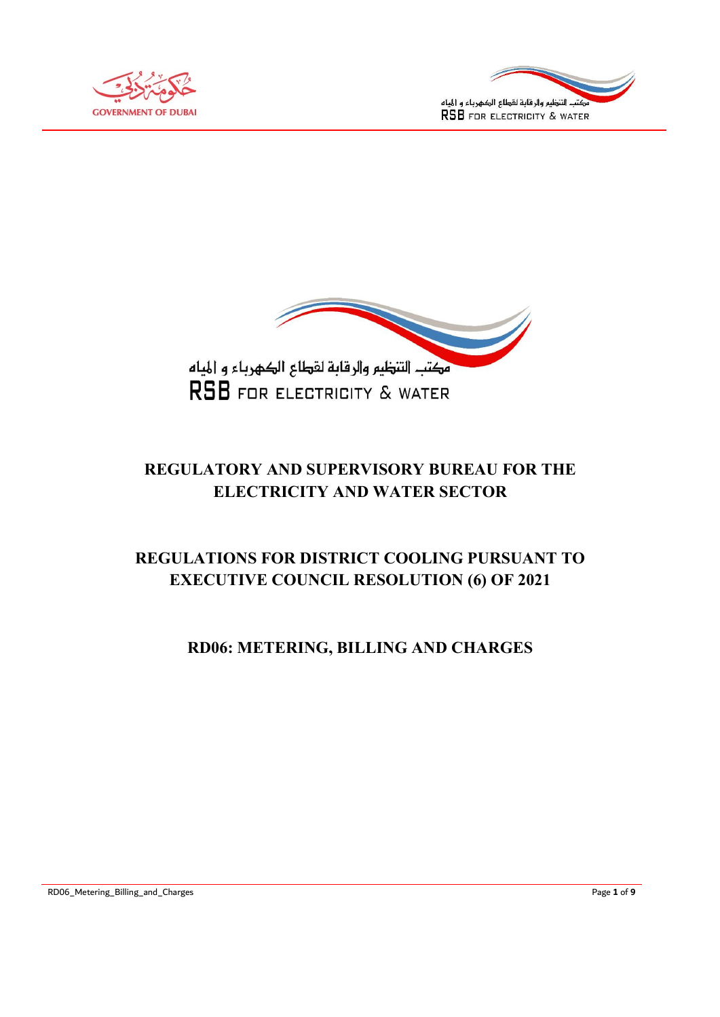





# REGULATORY AND SUPERVISORY BUREAU FOR THE ELECTRICITY AND WATER SECTOR

# REGULATIONS FOR DISTRICT COOLING PURSUANT TO EXECUTIVE COUNCIL RESOLUTION (6) OF 2021

# RD06: METERING, BILLING AND CHARGES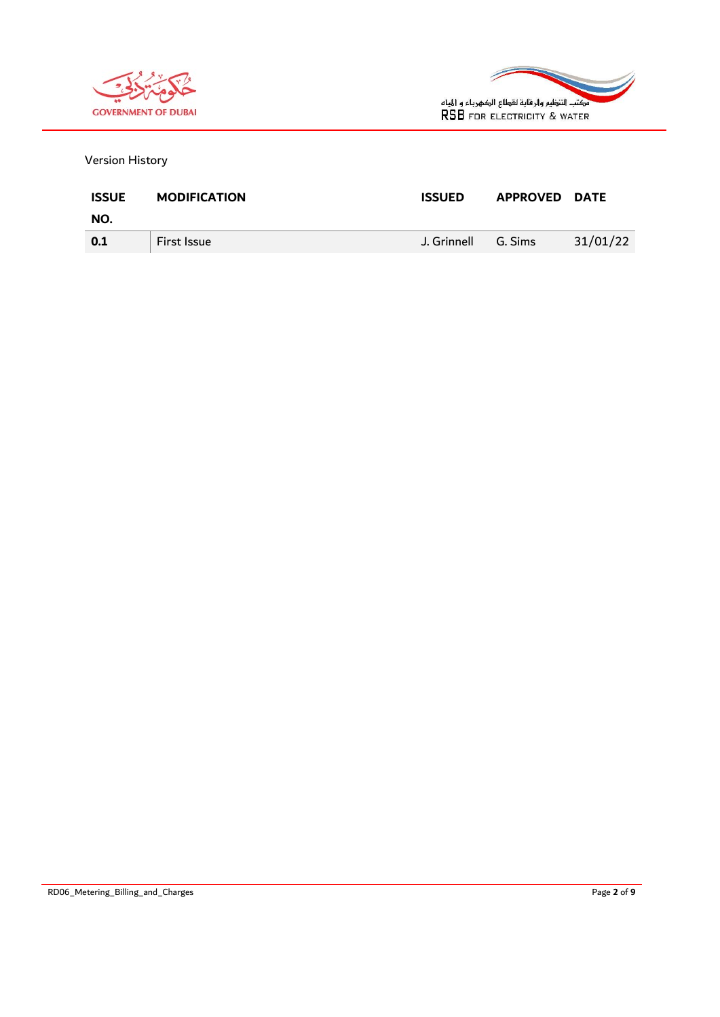



Version History

| <b>ISSUE</b> | <b>MODIFICATION</b> | <b>ISSUED</b> | <b>APPROVED DATE</b> |          |
|--------------|---------------------|---------------|----------------------|----------|
| NO.          |                     |               |                      |          |
| 0.1          | First Issue         | J. Grinnell   | G. Sims              | 31/01/22 |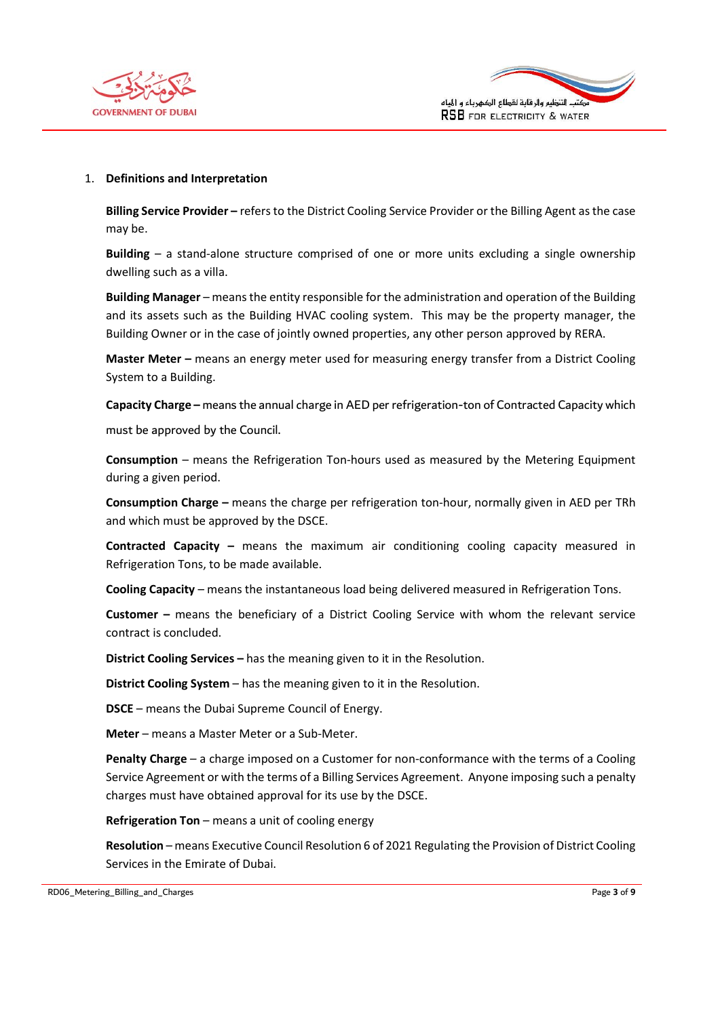



#### 1. Definitions and Interpretation

Billing Service Provider – refers to the District Cooling Service Provider or the Billing Agent as the case may be.

Building – a stand-alone structure comprised of one or more units excluding a single ownership dwelling such as a villa.

Building Manager – means the entity responsible for the administration and operation of the Building and its assets such as the Building HVAC cooling system. This may be the property manager, the Building Owner or in the case of jointly owned properties, any other person approved by RERA.

Master Meter – means an energy meter used for measuring energy transfer from a District Cooling System to a Building.

Capacity Charge – means the annual charge in AED per refrigeration-ton of Contracted Capacity which must be approved by the Council.

Consumption – means the Refrigeration Ton-hours used as measured by the Metering Equipment during a given period.

Consumption Charge – means the charge per refrigeration ton-hour, normally given in AED per TRh and which must be approved by the DSCE.

Contracted Capacity – means the maximum air conditioning cooling capacity measured in Refrigeration Tons, to be made available.

Cooling Capacity – means the instantaneous load being delivered measured in Refrigeration Tons.

Customer – means the beneficiary of a District Cooling Service with whom the relevant service contract is concluded.

District Cooling Services – has the meaning given to it in the Resolution.

District Cooling System – has the meaning given to it in the Resolution.

DSCE – means the Dubai Supreme Council of Energy.

Meter – means a Master Meter or a Sub-Meter.

Penalty Charge – a charge imposed on a Customer for non-conformance with the terms of a Cooling Service Agreement or with the terms of a Billing Services Agreement. Anyone imposing such a penalty charges must have obtained approval for its use by the DSCE.

Refrigeration Ton – means a unit of cooling energy

Resolution – means Executive Council Resolution 6 of 2021 Regulating the Provision of District Cooling Services in the Emirate of Dubai.

RD06\_Metering\_Billing\_and\_Charges **Page 3 of 9** and 2011 12:00 and 2012 12:00 and 2012 12:00 and 2013 12:00 and 2013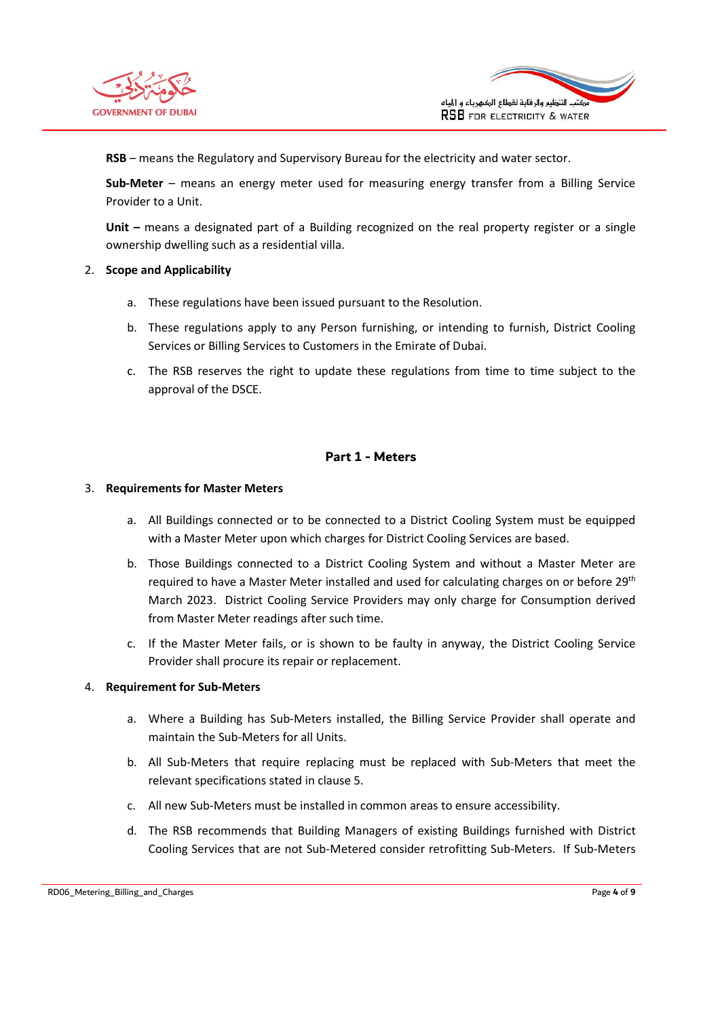



RSB – means the Regulatory and Supervisory Bureau for the electricity and water sector.

Sub-Meter – means an energy meter used for measuring energy transfer from a Billing Service Provider to a Unit.

Unit – means a designated part of a Building recognized on the real property register or a single ownership dwelling such as a residential villa.

#### 2. Scope and Applicability

- a. These regulations have been issued pursuant to the Resolution.
- b. These regulations apply to any Person furnishing, or intending to furnish, District Cooling Services or Billing Services to Customers in the Emirate of Dubai.
- c. The RSB reserves the right to update these regulations from time to time subject to the approval of the DSCE.

## Part 1 - Meters

#### 3. Requirements for Master Meters

- a. All Buildings connected or to be connected to a District Cooling System must be equipped with a Master Meter upon which charges for District Cooling Services are based.
- b. Those Buildings connected to a District Cooling System and without a Master Meter are required to have a Master Meter installed and used for calculating charges on or before 29<sup>th</sup> March 2023. District Cooling Service Providers may only charge for Consumption derived from Master Meter readings after such time.
- c. If the Master Meter fails, or is shown to be faulty in anyway, the District Cooling Service Provider shall procure its repair or replacement.

#### 4. Requirement for Sub-Meters

- a. Where a Building has Sub-Meters installed, the Billing Service Provider shall operate and maintain the Sub-Meters for all Units.
- b. All Sub-Meters that require replacing must be replaced with Sub-Meters that meet the relevant specifications stated in clause 5.
- c. All new Sub-Meters must be installed in common areas to ensure accessibility.
- d. The RSB recommends that Building Managers of existing Buildings furnished with District Cooling Services that are not Sub-Metered consider retrofitting Sub-Meters. If Sub-Meters

RD06\_Metering\_Billing\_and\_Charges **Page 4 of 9** and 2011 12 and 2012 12 and 2012 12 and 2012 12 and 2012 12 and 2013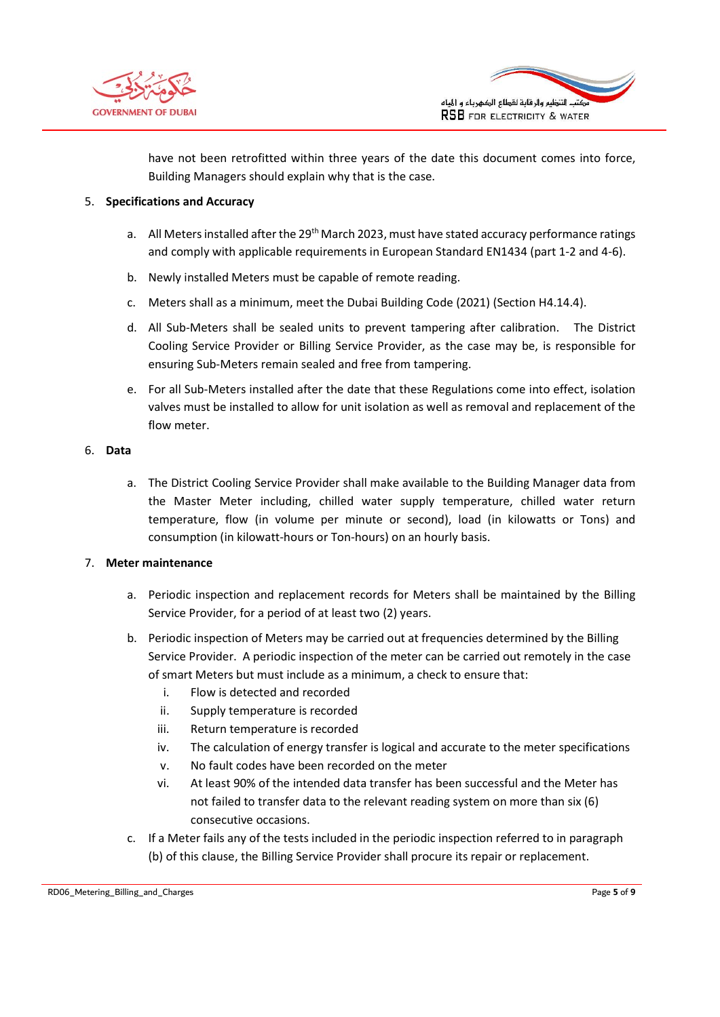



have not been retrofitted within three years of the date this document comes into force, Building Managers should explain why that is the case.

#### 5. Specifications and Accuracy

- a. All Meters installed after the 29<sup>th</sup> March 2023, must have stated accuracy performance ratings and comply with applicable requirements in European Standard EN1434 (part 1-2 and 4-6).
- b. Newly installed Meters must be capable of remote reading.
- c. Meters shall as a minimum, meet the Dubai Building Code (2021) (Section H4.14.4).
- d. All Sub-Meters shall be sealed units to prevent tampering after calibration. The District Cooling Service Provider or Billing Service Provider, as the case may be, is responsible for ensuring Sub-Meters remain sealed and free from tampering.
- e. For all Sub-Meters installed after the date that these Regulations come into effect, isolation valves must be installed to allow for unit isolation as well as removal and replacement of the flow meter.

#### 6. Data

a. The District Cooling Service Provider shall make available to the Building Manager data from the Master Meter including, chilled water supply temperature, chilled water return temperature, flow (in volume per minute or second), load (in kilowatts or Tons) and consumption (in kilowatt-hours or Ton-hours) on an hourly basis.

## 7. Meter maintenance

- a. Periodic inspection and replacement records for Meters shall be maintained by the Billing Service Provider, for a period of at least two (2) years.
- b. Periodic inspection of Meters may be carried out at frequencies determined by the Billing Service Provider. A periodic inspection of the meter can be carried out remotely in the case of smart Meters but must include as a minimum, a check to ensure that:
	- i. Flow is detected and recorded
	- ii. Supply temperature is recorded
	- iii. Return temperature is recorded
	- iv. The calculation of energy transfer is logical and accurate to the meter specifications
	- v. No fault codes have been recorded on the meter
	- vi. At least 90% of the intended data transfer has been successful and the Meter has not failed to transfer data to the relevant reading system on more than six (6) consecutive occasions.
- c. If a Meter fails any of the tests included in the periodic inspection referred to in paragraph (b) of this clause, the Billing Service Provider shall procure its repair or replacement.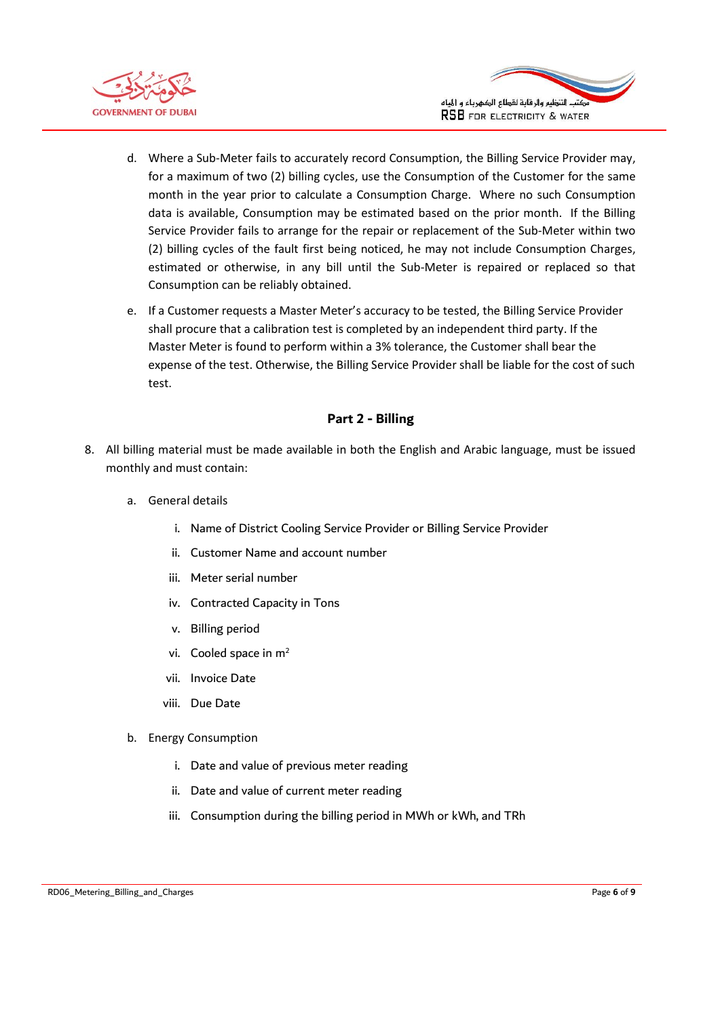



- d. Where a Sub-Meter fails to accurately record Consumption, the Billing Service Provider may, for a maximum of two (2) billing cycles, use the Consumption of the Customer for the same month in the year prior to calculate a Consumption Charge. Where no such Consumption data is available, Consumption may be estimated based on the prior month. If the Billing Service Provider fails to arrange for the repair or replacement of the Sub-Meter within two (2) billing cycles of the fault first being noticed, he may not include Consumption Charges, estimated or otherwise, in any bill until the Sub-Meter is repaired or replaced so that Consumption can be reliably obtained.
- e. If a Customer requests a Master Meter's accuracy to be tested, the Billing Service Provider shall procure that a calibration test is completed by an independent third party. If the Master Meter is found to perform within a 3% tolerance, the Customer shall bear the expense of the test. Otherwise, the Billing Service Provider shall be liable for the cost of such test.

# Part 2 - Billing

- 8. All billing material must be made available in both the English and Arabic language, must be issued monthly and must contain:
	- a. General details
		- i. Name of District Cooling Service Provider or Billing Service Provider
		- ii. Customer Name and account number
		- iii. Meter serial number
		- iv. Contracted Capacity in Tons
		- v. Billing period
		- vi. Cooled space in m<sup>2</sup>
		- vii. Invoice Date
		- viii. Due Date
	- b. Energy Consumption
		- i. Date and value of previous meter reading
		- ii. Date and value of current meter reading
		- iii. Consumption during the billing period in MWh or kWh, and TRh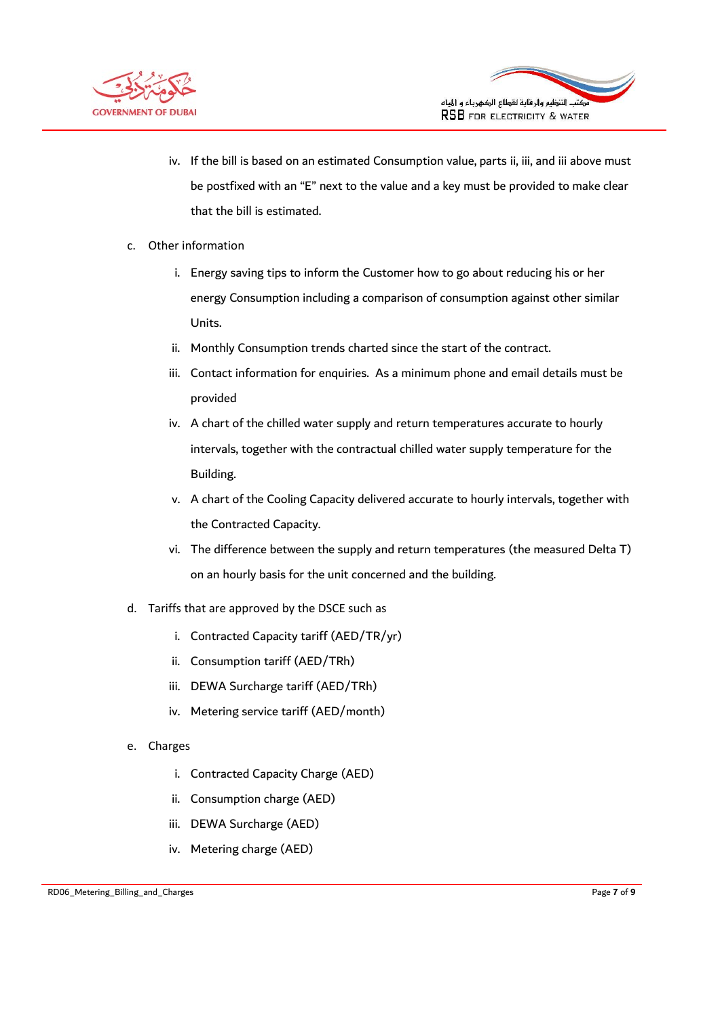



- iv. If the bill is based on an estimated Consumption value, parts ii, iii, and iii above must be postfixed with an "E" next to the value and a key must be provided to make clear that the bill is estimated.
- c. Other information
	- i. Energy saving tips to inform the Customer how to go about reducing his or her energy Consumption including a comparison of consumption against other similar Units.
	- ii. Monthly Consumption trends charted since the start of the contract.
	- iii. Contact information for enquiries. As a minimum phone and email details must be provided
	- iv. A chart of the chilled water supply and return temperatures accurate to hourly intervals, together with the contractual chilled water supply temperature for the Building.
	- v. A chart of the Cooling Capacity delivered accurate to hourly intervals, together with the Contracted Capacity.
	- vi. The difference between the supply and return temperatures (the measured Delta T) on an hourly basis for the unit concerned and the building.
- d. Tariffs that are approved by the DSCE such as
	- i. Contracted Capacity tariff (AED/TR/yr)
	- ii. Consumption tariff (AED/TRh)
	- iii. DEWA Surcharge tariff (AED/TRh)
	- iv. Metering service tariff (AED/month)
- e. Charges
	- i. Contracted Capacity Charge (AED)
	- ii. Consumption charge (AED)
	- iii. DEWA Surcharge (AED)
	- iv. Metering charge (AED)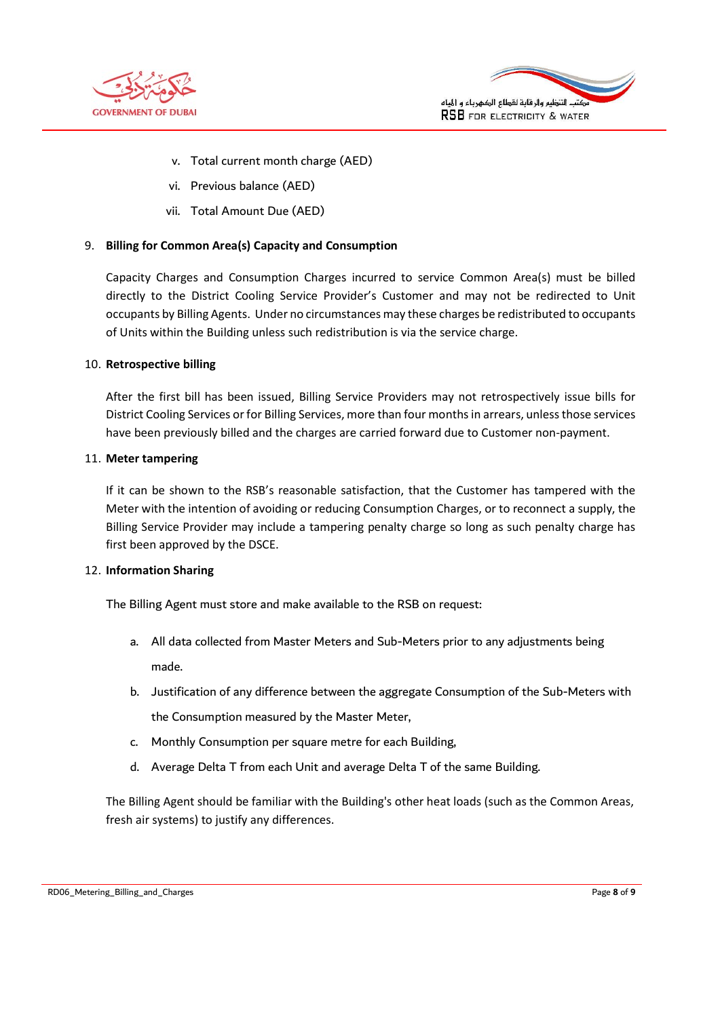



- v. Total current month charge (AED)
- vi. Previous balance (AED)
- vii. Total Amount Due (AED)

## 9. Billing for Common Area(s) Capacity and Consumption

Capacity Charges and Consumption Charges incurred to service Common Area(s) must be billed directly to the District Cooling Service Provider's Customer and may not be redirected to Unit occupants by Billing Agents. Under no circumstances may these charges be redistributed to occupants of Units within the Building unless such redistribution is via the service charge.

#### 10. Retrospective billing

After the first bill has been issued, Billing Service Providers may not retrospectively issue bills for District Cooling Services or for Billing Services, more than four months in arrears, unless those services have been previously billed and the charges are carried forward due to Customer non-payment.

#### 11. Meter tampering

If it can be shown to the RSB's reasonable satisfaction, that the Customer has tampered with the Meter with the intention of avoiding or reducing Consumption Charges, or to reconnect a supply, the Billing Service Provider may include a tampering penalty charge so long as such penalty charge has first been approved by the DSCE.

## 12. Information Sharing

The Billing Agent must store and make available to the RSB on request:

- a. All data collected from Master Meters and Sub-Meters prior to any adjustments being made.
- b. Justification of any difference between the aggregate Consumption of the Sub-Meters with the Consumption measured by the Master Meter,
- c. Monthly Consumption per square metre for each Building,
- d. Average Delta T from each Unit and average Delta T of the same Building.

The Billing Agent should be familiar with the Building's other heat loads (such as the Common Areas, fresh air systems) to justify any differences.